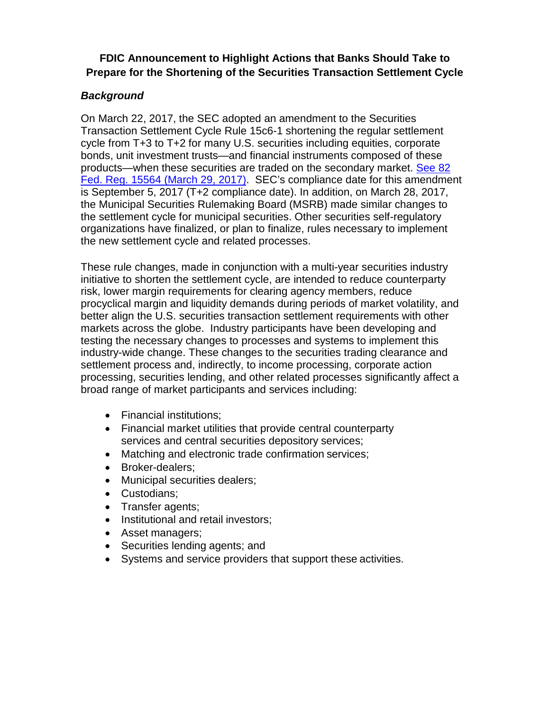## **FDIC Announcement to Highlight Actions that Banks Should Take to Prepare for the Shortening of the Securities Transaction Settlement Cycle**

## *Background*

On March 22, 2017, the SEC adopted an amendment to the Securities Transaction Settlement Cycle Rule 15c6-1 shortening the regular settlement cycle from T+3 to T+2 for many U.S. securities including equities, corporate bonds, unit investment trusts—and financial instruments composed of these products—when these securities are traded on the secondary market. [See 82](https://www.gpo.gov/fdsys/pkg/FR-2017-03-29/pdf/2017-06037.pdf)  [Fed. Reg. 15564 \(March 29, 2017\).](https://www.gpo.gov/fdsys/pkg/FR-2017-03-29/pdf/2017-06037.pdf) SEC's compliance date for this amendment is September 5, 2017 (T+2 compliance date). In addition, on March 28, 2017, the Municipal Securities Rulemaking Board (MSRB) made similar changes to the settlement cycle for municipal securities. Other securities self-regulatory organizations have finalized, or plan to finalize, rules necessary to implement the new settlement cycle and related processes.

These rule changes, made in conjunction with a multi-year securities industry initiative to shorten the settlement cycle, are intended to reduce counterparty risk, lower margin requirements for clearing agency members, reduce procyclical margin and liquidity demands during periods of market volatility, and better align the U.S. securities transaction settlement requirements with other markets across the globe. Industry participants have been developing and testing the necessary changes to processes and systems to implement this industry-wide change. These changes to the securities trading clearance and settlement process and, indirectly, to income processing, corporate action processing, securities lending, and other related processes significantly affect a broad range of market participants and services including:

- Financial institutions;
- Financial market utilities that provide central counterparty services and central securities depository services;
- Matching and electronic trade confirmation services;
- Broker-dealers;
- Municipal securities dealers;
- Custodians;
- Transfer agents;
- Institutional and retail investors;
- Asset managers;
- Securities lending agents; and
- Systems and service providers that support these activities.